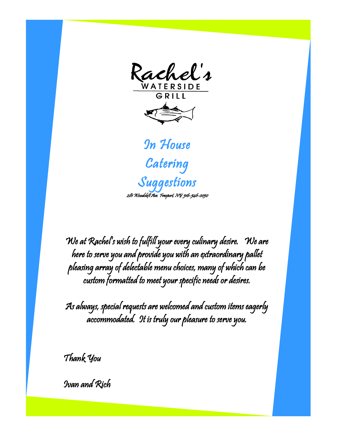Rachel's



We at Rachel's wish to fulfill your every culinary desire. We are here to serve you and provide you with an extraordinary pallet pleasing array of delectable menu choices, many of which can be custom formatted to meet your specific needs or desires.

As always, special requests are welcomed and custom items eagerly accommodated. It is truly our pleasure to serve you.

Thank You

Ivan and Rich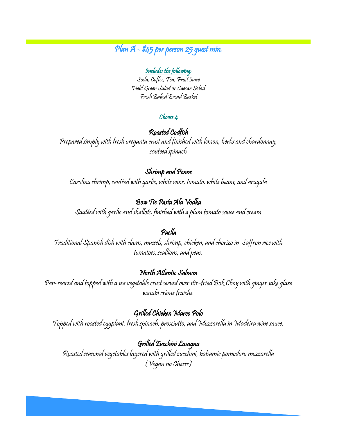# Plan A - \$45 per person 25 guest min.

#### Includes the following:

Soda, Coffee, Tea, Fruit Juice Field Green Salad or Caesar Salad Fresh Baked Bread Basket

#### Choose 4

#### $\overline{a}$ Roasted Codfish

Prepared simply with fresh oreganta crust and finished with lemon, herbs and chardonnay, sauteed spinach

#### Shrimp and Penne

Carolina shrimp, sautéed with garlic, white wine, tomato, white beans, and arugula

### Bow Tie Pasta Ala Vodka

Sautéed with garlic and shallots, finished with a plum tomato sauce and cream

### Paella

Traditional Spanish dish with clams, mussels, shrimp, chicken, and chorizo in Saffron rice with tomatoes, scallions, and peas.

# North Atlantic Salmon

Pan-seared and topped with a sea vegetable crust served over stir-fried Bok Choy with ginger sake glaze wasabi crème fraiche.

# Grilled Chicken Marco Polo

Topped with roasted eggplant, fresh spinach, prosciutto, and Mozzarella in Madeira wine sauce.

Grilled Zucchini Lasagna Roasted seasonal vegetables layered with grilled zucchini, balsamic pomodoro mozzarella (Vegan no Cheese)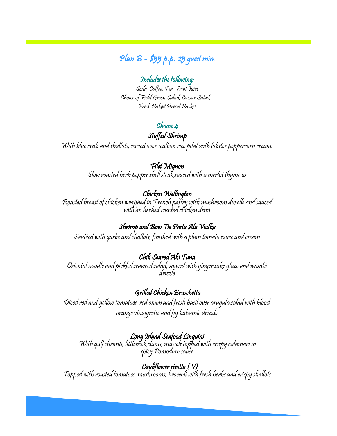# Plan B - \$55 p.p. 25 guest min.

#### Includes the following:

Soda, Coffee, Tea, Fruit Juice Choice of Field Green Salad, Caesar Salad, . Fresh Baked Bread Basket

# Choose 4

Stuffed Shrimp

With blue crab and shallots, served over scallion rice pilaf with lobster peppercorn cream.

#### Filet Mignon

Slow roasted herb pepper shell steak sauced with a merlot thyme us

# Chicken Wellington

Roasted breast of chicken wrapped in French pastry with mushroom duxelle and sauced with an herbed roasted chicken demi

### Shrimp and Bow Tie Pasta Ala Vodka

Sautéed with garlic and shallots, finished with a plum tomato sauce and cream

# Chili Seared Ahi Tuna

Oriental noodle and pickled seaweed salad, sauced with ginger sake glaze and wasabi drizzle

# Grilled Chicken Bruschetta

Diced red and yellow tomatoes, red onion and fresh basil over arugula salad with blood orange vinaigrette and fig balsamic drizzle

# Long Island Seafood Linguini

With gulf shrimp, littleneck clams, mussels topped with crispy calamari in spicy Pomodoro sauce

#### Cauliflower risotto (V)

Topped with roasted tomatoes, mushrooms, broccoli with fresh herbs and crispy shallots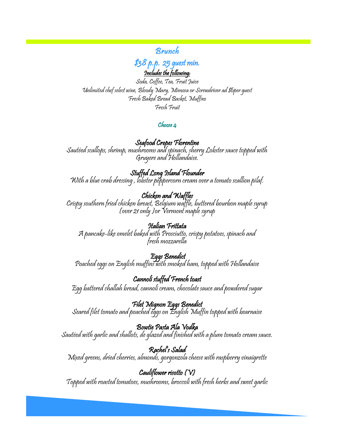Brunch

\$38 p.p. 25 guest min. Includes the following:

Soda, Coffee, Tea, Fruit Juice Unlimited chef select wine, Bloody Mary, Mimosa or Screwdriver ad \$6per guest Fresh Baked Bread Basket, Muffins Fresh Fruit

#### $\mathcal C$ hoose  $\mathfrak u$

# Seafood Crepes Florentine

Sautéed scallops, shrimp, mushrooms and spinach, sherry Lobster sauce topped with Gruyere and Hollandaise.

J Stuffed Long Island Flounder With a blue crab dressing , lobster peppercorn cream over a tomato scallion pilaf.

# Chicken and Waffles

Crispy southern fried chicken breast, Belgium waffle, buttered bourbon maple syrup (over 21 only )or Vermont maple syrup

Italian Frittata A pancake-like omelet baked with Prosciutto, crispy potatoes, spinach and fresh mozzarella

 $\overline{a}$  Eggs Benedict Poached eggs on English muffins with smoked ham, topped with Hollandaise

Cannoli stuffed French toast Egg battered challah bread, cannoli cream, chocolate sauce and powdered sugar

Filet Mignon Eggs Benedict Seared filet tomato and poached eggs on English Muffin topped with bearnaise

Bowtie Pasta Ala Vodka Sautéed with garlic and shallots, de glazed and finished with a plum tomato cream sauce.

j Rachel's Salad Mixed greens, dried cherries, almonds, gorgonzola cheese with raspberry vinaigrette

Ì Cauliflower risotto (V) Topped with roasted tomatoes, mushrooms, broccoli with fresh herbs and sweet garlic